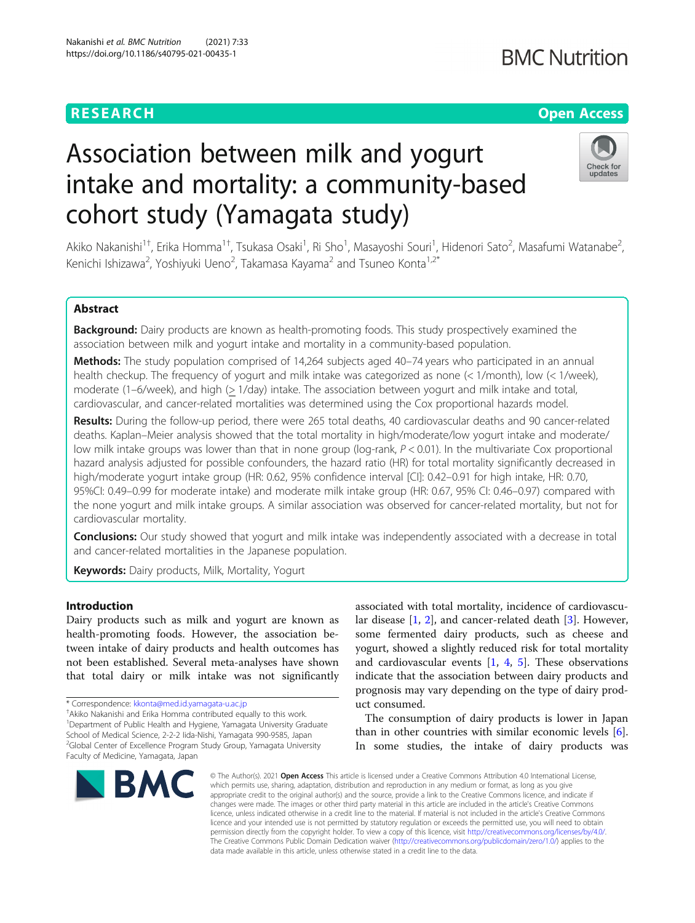## **RESEARCH CHE Open Access**

# Check for updates

# Association between milk and yogurt intake and mortality: a community-based cohort study (Yamagata study)

Akiko Nakanishi<sup>1†</sup>, Erika Homma<sup>1†</sup>, Tsukasa Osaki<sup>1</sup>, Ri Sho<sup>1</sup>, Masayoshi Souri<sup>1</sup>, Hidenori Sato<sup>2</sup>, Masafumi Watanabe<sup>2</sup> .<br>, Kenichi Ishizawa<sup>2</sup>, Yoshiyuki Ueno<sup>2</sup>, Takamasa Kayama<sup>2</sup> and Tsuneo Konta<sup>1,2\*</sup>

### Abstract

Background: Dairy products are known as health-promoting foods. This study prospectively examined the association between milk and yogurt intake and mortality in a community-based population.

Methods: The study population comprised of 14,264 subjects aged 40-74 years who participated in an annual health checkup. The frequency of yogurt and milk intake was categorized as none (< 1/month), low (< 1/week), moderate (1–6/week), and high (> 1/day) intake. The association between yogurt and milk intake and total, cardiovascular, and cancer-related mortalities was determined using the Cox proportional hazards model.

Results: During the follow-up period, there were 265 total deaths, 40 cardiovascular deaths and 90 cancer-related deaths. Kaplan–Meier analysis showed that the total mortality in high/moderate/low yogurt intake and moderate/ low milk intake groups was lower than that in none group (log-rank,  $P < 0.01$ ). In the multivariate Cox proportional hazard analysis adjusted for possible confounders, the hazard ratio (HR) for total mortality significantly decreased in high/moderate yogurt intake group (HR: 0.62, 95% confidence interval [CI]: 0.42–0.91 for high intake, HR: 0.70, 95%CI: 0.49–0.99 for moderate intake) and moderate milk intake group (HR: 0.67, 95% CI: 0.46–0.97) compared with the none yogurt and milk intake groups. A similar association was observed for cancer-related mortality, but not for cardiovascular mortality.

**Conclusions:** Our study showed that yogurt and milk intake was independently associated with a decrease in total and cancer-related mortalities in the Japanese population.

**Keywords:** Dairy products, Milk, Mortality, Yogurt

#### Introduction

Dairy products such as milk and yogurt are known as health-promoting foods. However, the association between intake of dairy products and health outcomes has not been established. Several meta-analyses have shown that total dairy or milk intake was not significantly

\* Correspondence: [kkonta@med.id.yamagata-u.ac.jp](mailto:kkonta@med.id.yamagata-u.ac.jp) †

<sup>+</sup>Akiko Nakanishi and Erika Homma contributed equally to this work.

<sup>1</sup>Department of Public Health and Hygiene, Yamagata University Graduate School of Medical Science, 2-2-2 Iida-Nishi, Yamagata 990-9585, Japan <sup>2</sup>Global Center of Excellence Program Study Group, Yamagata University Faculty of Medicine, Yamagata, Japan



associated with total mortality, incidence of cardiovascular disease [[1,](#page-5-0) [2](#page-5-0)], and cancer-related death [\[3](#page-5-0)]. However, some fermented dairy products, such as cheese and yogurt, showed a slightly reduced risk for total mortality and cardiovascular events  $[1, 4, 5]$  $[1, 4, 5]$  $[1, 4, 5]$  $[1, 4, 5]$  $[1, 4, 5]$  $[1, 4, 5]$ . These observations indicate that the association between dairy products and prognosis may vary depending on the type of dairy product consumed.

The consumption of dairy products is lower in Japan than in other countries with similar economic levels [\[6](#page-5-0)]. In some studies, the intake of dairy products was

© The Author(s), 2021 **Open Access** This article is licensed under a Creative Commons Attribution 4.0 International License, which permits use, sharing, adaptation, distribution and reproduction in any medium or format, as long as you give appropriate credit to the original author(s) and the source, provide a link to the Creative Commons licence, and indicate if changes were made. The images or other third party material in this article are included in the article's Creative Commons licence, unless indicated otherwise in a credit line to the material. If material is not included in the article's Creative Commons licence and your intended use is not permitted by statutory regulation or exceeds the permitted use, you will need to obtain permission directly from the copyright holder. To view a copy of this licence, visit [http://creativecommons.org/licenses/by/4.0/.](http://creativecommons.org/licenses/by/4.0/) The Creative Commons Public Domain Dedication waiver [\(http://creativecommons.org/publicdomain/zero/1.0/](http://creativecommons.org/publicdomain/zero/1.0/)) applies to the data made available in this article, unless otherwise stated in a credit line to the data.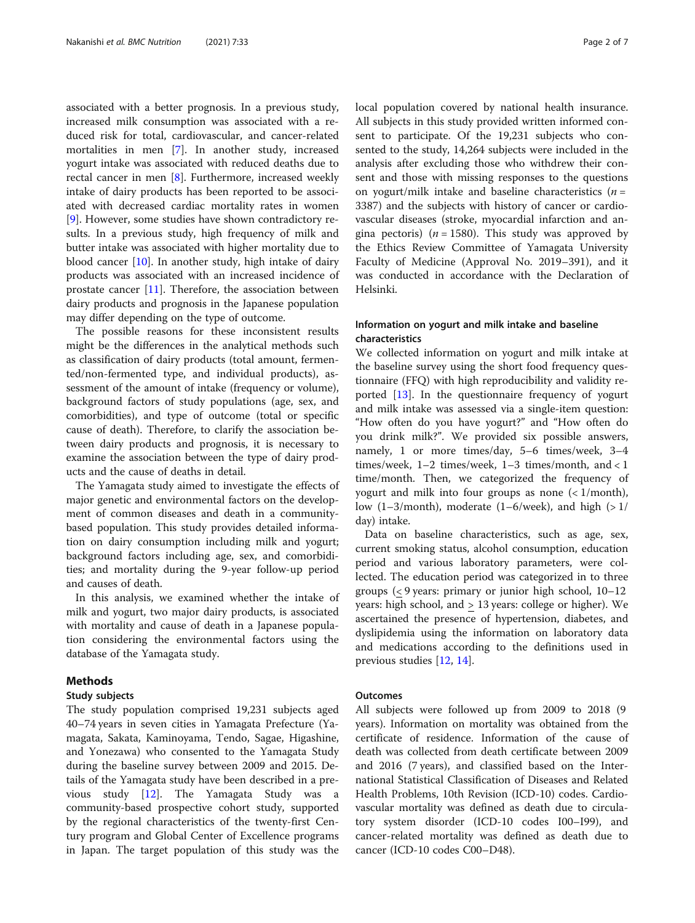associated with a better prognosis. In a previous study, increased milk consumption was associated with a reduced risk for total, cardiovascular, and cancer-related mortalities in men [\[7](#page-5-0)]. In another study, increased yogurt intake was associated with reduced deaths due to rectal cancer in men [[8](#page-5-0)]. Furthermore, increased weekly intake of dairy products has been reported to be associated with decreased cardiac mortality rates in women [[9\]](#page-5-0). However, some studies have shown contradictory results. In a previous study, high frequency of milk and butter intake was associated with higher mortality due to blood cancer [\[10](#page-6-0)]. In another study, high intake of dairy products was associated with an increased incidence of prostate cancer  $[11]$  $[11]$ . Therefore, the association between dairy products and prognosis in the Japanese population may differ depending on the type of outcome.

The possible reasons for these inconsistent results might be the differences in the analytical methods such as classification of dairy products (total amount, fermented/non-fermented type, and individual products), assessment of the amount of intake (frequency or volume), background factors of study populations (age, sex, and comorbidities), and type of outcome (total or specific cause of death). Therefore, to clarify the association between dairy products and prognosis, it is necessary to examine the association between the type of dairy products and the cause of deaths in detail.

The Yamagata study aimed to investigate the effects of major genetic and environmental factors on the development of common diseases and death in a communitybased population. This study provides detailed information on dairy consumption including milk and yogurt; background factors including age, sex, and comorbidities; and mortality during the 9-year follow-up period and causes of death.

In this analysis, we examined whether the intake of milk and yogurt, two major dairy products, is associated with mortality and cause of death in a Japanese population considering the environmental factors using the database of the Yamagata study.

#### Methods

#### Study subjects

The study population comprised 19,231 subjects aged 40–74 years in seven cities in Yamagata Prefecture (Yamagata, Sakata, Kaminoyama, Tendo, Sagae, Higashine, and Yonezawa) who consented to the Yamagata Study during the baseline survey between 2009 and 2015. Details of the Yamagata study have been described in a previous study [\[12\]](#page-6-0). The Yamagata Study was a community-based prospective cohort study, supported by the regional characteristics of the twenty-first Century program and Global Center of Excellence programs in Japan. The target population of this study was the local population covered by national health insurance. All subjects in this study provided written informed consent to participate. Of the 19,231 subjects who consented to the study, 14,264 subjects were included in the analysis after excluding those who withdrew their consent and those with missing responses to the questions on yogurt/milk intake and baseline characteristics ( $n =$ 3387) and the subjects with history of cancer or cardiovascular diseases (stroke, myocardial infarction and angina pectoris) ( $n = 1580$ ). This study was approved by the Ethics Review Committee of Yamagata University Faculty of Medicine (Approval No. 2019–391), and it was conducted in accordance with the Declaration of Helsinki.

#### Information on yogurt and milk intake and baseline characteristics

We collected information on yogurt and milk intake at the baseline survey using the short food frequency questionnaire (FFQ) with high reproducibility and validity reported [\[13\]](#page-6-0). In the questionnaire frequency of yogurt and milk intake was assessed via a single-item question: "How often do you have yogurt?" and "How often do you drink milk?". We provided six possible answers, namely, 1 or more times/day, 5–6 times/week, 3–4 times/week, 1–2 times/week, 1–3 times/month, and < 1 time/month. Then, we categorized the frequency of yogurt and milk into four groups as none  $\left\langle \frac{1}{\text{month}} \right\rangle$ , low (1–3/month), moderate (1–6/week), and high  $(>1/$ day) intake.

Data on baseline characteristics, such as age, sex, current smoking status, alcohol consumption, education period and various laboratory parameters, were collected. The education period was categorized in to three groups (< 9 years: primary or junior high school, 10–12 years: high school, and > 13 years: college or higher). We ascertained the presence of hypertension, diabetes, and dyslipidemia using the information on laboratory data and medications according to the definitions used in previous studies [[12](#page-6-0), [14](#page-6-0)].

#### **Outcomes**

All subjects were followed up from 2009 to 2018 (9 years). Information on mortality was obtained from the certificate of residence. Information of the cause of death was collected from death certificate between 2009 and 2016 (7 years), and classified based on the International Statistical Classification of Diseases and Related Health Problems, 10th Revision (ICD-10) codes. Cardiovascular mortality was defined as death due to circulatory system disorder (ICD-10 codes I00–I99), and cancer-related mortality was defined as death due to cancer (ICD-10 codes C00–D48).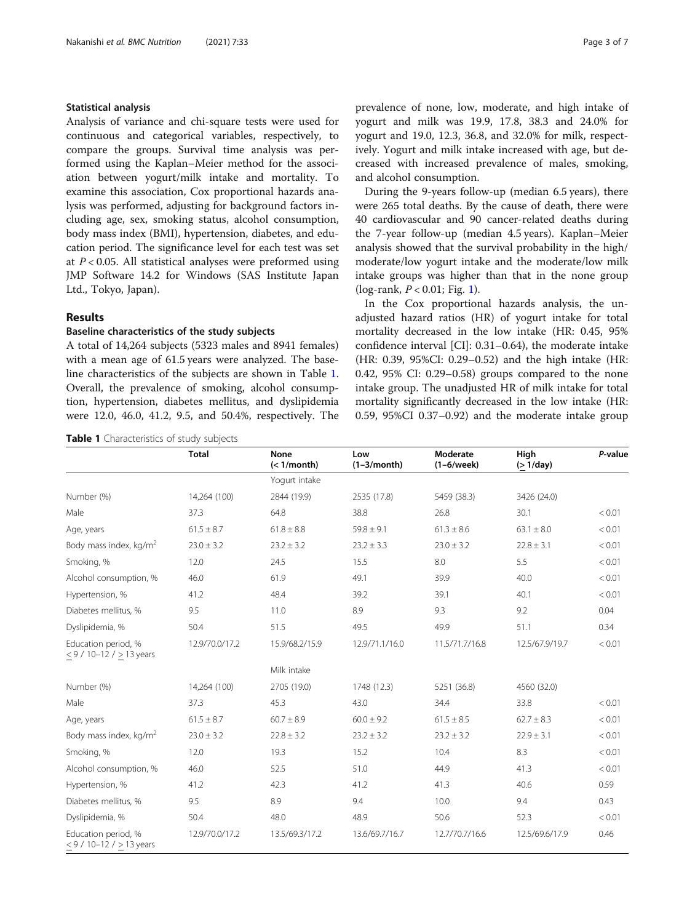#### Statistical analysis

Analysis of variance and chi-square tests were used for continuous and categorical variables, respectively, to compare the groups. Survival time analysis was performed using the Kaplan–Meier method for the association between yogurt/milk intake and mortality. To examine this association, Cox proportional hazards analysis was performed, adjusting for background factors including age, sex, smoking status, alcohol consumption, body mass index (BMI), hypertension, diabetes, and education period. The significance level for each test was set at  $P < 0.05$ . All statistical analyses were preformed using JMP Software 14.2 for Windows (SAS Institute Japan Ltd., Tokyo, Japan).

#### Results

#### Baseline characteristics of the study subjects

A total of 14,264 subjects (5323 males and 8941 females) with a mean age of 61.5 years were analyzed. The baseline characteristics of the subjects are shown in Table 1. Overall, the prevalence of smoking, alcohol consumption, hypertension, diabetes mellitus, and dyslipidemia were 12.0, 46.0, 41.2, 9.5, and 50.4%, respectively. The

Table 1 Characteristics of study subjects

prevalence of none, low, moderate, and high intake of yogurt and milk was 19.9, 17.8, 38.3 and 24.0% for yogurt and 19.0, 12.3, 36.8, and 32.0% for milk, respectively. Yogurt and milk intake increased with age, but decreased with increased prevalence of males, smoking, and alcohol consumption.

During the 9-years follow-up (median 6.5 years), there were 265 total deaths. By the cause of death, there were 40 cardiovascular and 90 cancer-related deaths during the 7-year follow-up (median 4.5 years). Kaplan–Meier analysis showed that the survival probability in the high/ moderate/low yogurt intake and the moderate/low milk intake groups was higher than that in the none group (log-rank,  $P < 0.01$  $P < 0.01$ ; Fig. 1).

In the Cox proportional hazards analysis, the unadjusted hazard ratios (HR) of yogurt intake for total mortality decreased in the low intake (HR: 0.45, 95% confidence interval [CI]: 0.31–0.64), the moderate intake (HR: 0.39, 95%CI: 0.29–0.52) and the high intake (HR: 0.42, 95% CI: 0.29–0.58) groups compared to the none intake group. The unadjusted HR of milk intake for total mortality significantly decreased in the low intake (HR: 0.59, 95%CI 0.37–0.92) and the moderate intake group

|                                                   | <b>Total</b>   | <b>None</b><br>(< 1/month) | Low<br>$(1-3/month)$ | Moderate<br>$(1-6$ /week) | High<br>$($ > 1/day) | P-value |
|---------------------------------------------------|----------------|----------------------------|----------------------|---------------------------|----------------------|---------|
|                                                   |                | Yogurt intake              |                      |                           |                      |         |
| Number (%)                                        | 14,264 (100)   | 2844 (19.9)                | 2535 (17.8)          | 5459 (38.3)               | 3426 (24.0)          |         |
| Male<br>37.3                                      |                | 64.8                       | 38.8                 | 26.8                      | 30.1                 | < 0.01  |
| Age, years                                        | $61.5 \pm 8.7$ | $61.8 \pm 8.8$             | $59.8 \pm 9.1$       | $61.3 \pm 8.6$            | $63.1 \pm 8.0$       | < 0.01  |
| Body mass index, kg/m <sup>2</sup>                | $23.0 \pm 3.2$ | $23.2 \pm 3.2$             | $23.2 \pm 3.3$       | $23.0 \pm 3.2$            | $22.8 \pm 3.1$       | < 0.01  |
| Smoking, %<br>12.0                                |                | 24.5                       | 15.5                 | 8.0                       | 5.5                  | < 0.01  |
| 46.0<br>Alcohol consumption, %                    |                | 61.9                       | 49.1                 | 39.9                      | 40.0                 | < 0.01  |
| Hypertension, %<br>41.2                           |                | 48.4                       | 39.2                 | 39.1                      | 40.1                 | < 0.01  |
| Diabetes mellitus, %<br>9.5                       |                | 11.0                       | 8.9                  | 9.3                       | 9.2                  | 0.04    |
| Dyslipidemia, %                                   | 50.4           | 51.5                       | 49.5                 | 49.9                      | 51.1                 | 0.34    |
| Education period, %<br>$<$ 9 / 10-12 / > 13 years | 12.9/70.0/17.2 | 15.9/68.2/15.9             | 12.9/71.1/16.0       | 11.5/71.7/16.8            | 12.5/67.9/19.7       | < 0.01  |
|                                                   |                | Milk intake                |                      |                           |                      |         |
| Number (%)                                        | 14,264 (100)   | 2705 (19.0)                | 1748 (12.3)          | 5251 (36.8)               | 4560 (32.0)          |         |
| Male                                              | 37.3           | 45.3                       | 43.0                 | 34.4                      | 33.8                 | < 0.01  |
| Age, years                                        | $61.5 \pm 8.7$ | $60.7 \pm 8.9$             | $60.0 \pm 9.2$       | $61.5 \pm 8.5$            | $62.7 \pm 8.3$       | < 0.01  |
| Body mass index, kg/m <sup>2</sup>                | $23.0 \pm 3.2$ | $22.8 \pm 3.2$             | $23.2 \pm 3.2$       | $23.2 \pm 3.2$            | $22.9 \pm 3.1$       | < 0.01  |
| Smoking, %                                        | 12.0           | 19.3                       | 15.2                 | 10.4                      | 8.3                  | < 0.01  |
| Alcohol consumption, %                            | 46.0           | 52.5                       | 51.0                 | 44.9                      | 41.3                 | < 0.01  |
| Hypertension, %                                   | 41.2           | 42.3                       | 41.2                 | 41.3                      | 40.6                 | 0.59    |
| Diabetes mellitus, %                              | 9.5            | 8.9                        | 9.4                  | 10.0                      | 9.4                  | 0.43    |
| Dyslipidemia, %                                   | 50.4           | 48.0                       | 48.9                 | 50.6                      | 52.3                 | < 0.01  |
| Education period, %<br>≤ 9 / 10-12 / $≥$ 13 years | 12.9/70.0/17.2 | 13.5/69.3/17.2             | 13.6/69.7/16.7       | 12.7/70.7/16.6            | 12.5/69.6/17.9       | 0.46    |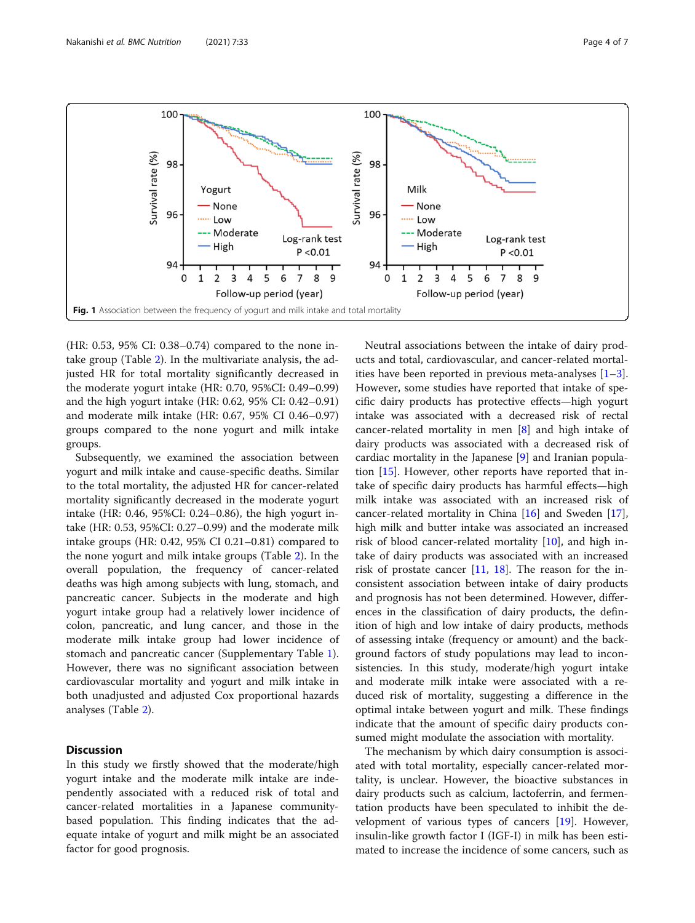<span id="page-3-0"></span>

(HR: 0.53, 95% CI: 0.38–0.74) compared to the none intake group (Table [2\)](#page-4-0). In the multivariate analysis, the adjusted HR for total mortality significantly decreased in the moderate yogurt intake (HR: 0.70, 95%CI: 0.49–0.99) and the high yogurt intake (HR: 0.62, 95% CI: 0.42–0.91) and moderate milk intake (HR: 0.67, 95% CI 0.46–0.97) groups compared to the none yogurt and milk intake groups.

Subsequently, we examined the association between yogurt and milk intake and cause-specific deaths. Similar to the total mortality, the adjusted HR for cancer-related mortality significantly decreased in the moderate yogurt intake (HR: 0.46, 95%CI: 0.24–0.86), the high yogurt intake (HR: 0.53, 95%CI: 0.27–0.99) and the moderate milk intake groups (HR: 0.42, 95% CI 0.21–0.81) compared to the none yogurt and milk intake groups (Table [2\)](#page-4-0). In the overall population, the frequency of cancer-related deaths was high among subjects with lung, stomach, and pancreatic cancer. Subjects in the moderate and high yogurt intake group had a relatively lower incidence of colon, pancreatic, and lung cancer, and those in the moderate milk intake group had lower incidence of stomach and pancreatic cancer (Supplementary Table [1](#page-5-0)). However, there was no significant association between cardiovascular mortality and yogurt and milk intake in both unadjusted and adjusted Cox proportional hazards analyses (Table [2\)](#page-4-0).

#### **Discussion**

In this study we firstly showed that the moderate/high yogurt intake and the moderate milk intake are independently associated with a reduced risk of total and cancer-related mortalities in a Japanese communitybased population. This finding indicates that the adequate intake of yogurt and milk might be an associated factor for good prognosis.

Neutral associations between the intake of dairy products and total, cardiovascular, and cancer-related mortalities have been reported in previous meta-analyses [\[1](#page-5-0)–[3](#page-5-0)]. However, some studies have reported that intake of specific dairy products has protective effects—high yogurt intake was associated with a decreased risk of rectal cancer-related mortality in men [[8\]](#page-5-0) and high intake of dairy products was associated with a decreased risk of cardiac mortality in the Japanese [[9\]](#page-5-0) and Iranian population [[15\]](#page-6-0). However, other reports have reported that intake of specific dairy products has harmful effects—high milk intake was associated with an increased risk of cancer-related mortality in China [\[16\]](#page-6-0) and Sweden [\[17](#page-6-0)], high milk and butter intake was associated an increased risk of blood cancer-related mortality [[10\]](#page-6-0), and high intake of dairy products was associated with an increased risk of prostate cancer  $[11, 18]$  $[11, 18]$  $[11, 18]$  $[11, 18]$ . The reason for the inconsistent association between intake of dairy products and prognosis has not been determined. However, differences in the classification of dairy products, the definition of high and low intake of dairy products, methods of assessing intake (frequency or amount) and the background factors of study populations may lead to inconsistencies. In this study, moderate/high yogurt intake and moderate milk intake were associated with a reduced risk of mortality, suggesting a difference in the optimal intake between yogurt and milk. These findings indicate that the amount of specific dairy products consumed might modulate the association with mortality.

The mechanism by which dairy consumption is associated with total mortality, especially cancer-related mortality, is unclear. However, the bioactive substances in dairy products such as calcium, lactoferrin, and fermentation products have been speculated to inhibit the development of various types of cancers [\[19](#page-6-0)]. However, insulin-like growth factor I (IGF-I) in milk has been estimated to increase the incidence of some cancers, such as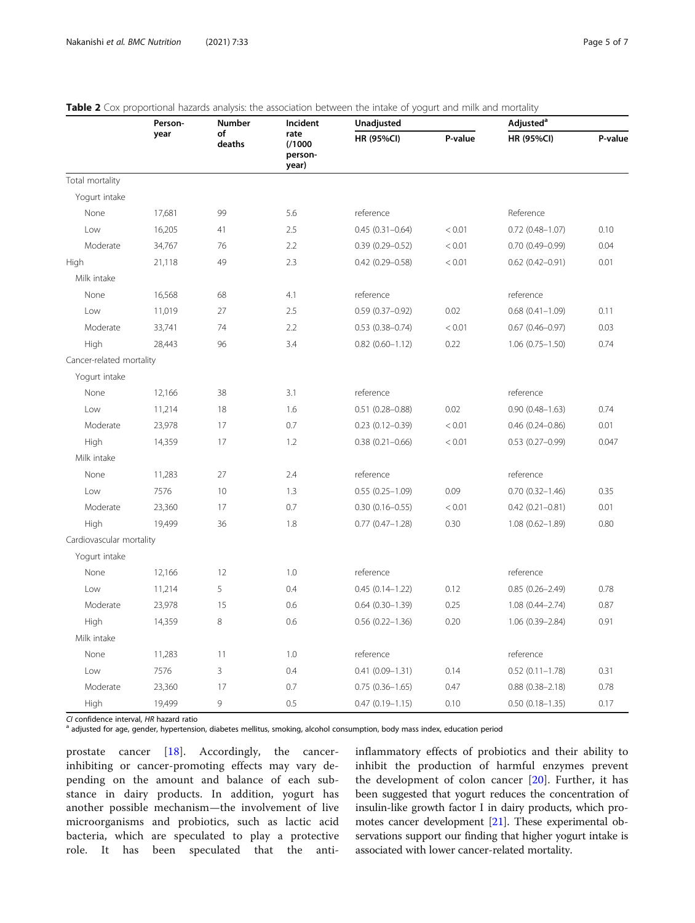|                          | Person-<br>year | Number<br>of<br>deaths | Incident<br>rate<br>(1000)<br>person-<br>year) | <b>SIG &amp;</b> Cox proportional nazaras analysis, the association between the intake or yogan and milk and mortality<br>Unadjusted |         | Adjusted <sup>a</sup>  |         |
|--------------------------|-----------------|------------------------|------------------------------------------------|--------------------------------------------------------------------------------------------------------------------------------------|---------|------------------------|---------|
|                          |                 |                        |                                                | <b>HR (95%CI)</b>                                                                                                                    | P-value | HR (95%CI)             | P-value |
| Total mortality          |                 |                        |                                                |                                                                                                                                      |         |                        |         |
| Yogurt intake            |                 |                        |                                                |                                                                                                                                      |         |                        |         |
| None                     | 17,681          | 99                     | 5.6                                            | reference                                                                                                                            |         | Reference              |         |
| Low                      | 16,205          | 41                     | 2.5                                            | $0.45(0.31 - 0.64)$                                                                                                                  | < 0.01  | $0.72$ (0.48-1.07)     | 0.10    |
| Moderate                 | 34,767          | 76                     | 2.2                                            | $0.39(0.29 - 0.52)$                                                                                                                  | < 0.01  | $0.70(0.49 - 0.99)$    | 0.04    |
| High                     | 21,118          | 49                     | 2.3                                            | $0.42$ (0.29-0.58)                                                                                                                   | < 0.01  | $0.62$ (0.42-0.91)     | 0.01    |
| Milk intake              |                 |                        |                                                |                                                                                                                                      |         |                        |         |
| None                     | 16,568          | 68                     | 4.1                                            | reference                                                                                                                            |         | reference              |         |
| Low                      | 11,019          | 27                     | 2.5                                            | $0.59(0.37 - 0.92)$                                                                                                                  | 0.02    | $0.68$ $(0.41 - 1.09)$ | 0.11    |
| Moderate                 | 33,741          | 74                     | 2.2                                            | $0.53$ $(0.38 - 0.74)$                                                                                                               | < 0.01  | $0.67$ (0.46-0.97)     | 0.03    |
| High                     | 28,443          | 96                     | 3.4                                            | $0.82$ $(0.60 - 1.12)$                                                                                                               | 0.22    | $1.06(0.75 - 1.50)$    | 0.74    |
| Cancer-related mortality |                 |                        |                                                |                                                                                                                                      |         |                        |         |
| Yogurt intake            |                 |                        |                                                |                                                                                                                                      |         |                        |         |
| None                     | 12,166          | 38                     | 3.1                                            | reference                                                                                                                            |         | reference              |         |
| Low                      | 11,214          | 18                     | 1.6                                            | $0.51$ (0.28-0.88)                                                                                                                   | 0.02    | $0.90(0.48 - 1.63)$    | 0.74    |
| Moderate                 | 23,978          | 17                     | 0.7                                            | $0.23(0.12 - 0.39)$                                                                                                                  | < 0.01  | $0.46(0.24 - 0.86)$    | 0.01    |
| High                     | 14,359          | 17                     | 1.2                                            | $0.38(0.21 - 0.66)$                                                                                                                  | < 0.01  | $0.53(0.27 - 0.99)$    | 0.047   |
| Milk intake              |                 |                        |                                                |                                                                                                                                      |         |                        |         |
| None                     | 11,283          | 27                     | 2.4                                            | reference                                                                                                                            |         | reference              |         |
| Low                      | 7576            | 10                     | 1.3                                            | $0.55(0.25 - 1.09)$                                                                                                                  | 0.09    | $0.70(0.32 - 1.46)$    | 0.35    |
| Moderate                 | 23,360          | 17                     | 0.7                                            | $0.30(0.16 - 0.55)$                                                                                                                  | < 0.01  | $0.42$ (0.21-0.81)     | 0.01    |
| High                     | 19,499          | 36                     | 1.8                                            | $0.77$ $(0.47 - 1.28)$                                                                                                               | 0.30    | $1.08(0.62 - 1.89)$    | 0.80    |
| Cardiovascular mortality |                 |                        |                                                |                                                                                                                                      |         |                        |         |
| Yogurt intake            |                 |                        |                                                |                                                                                                                                      |         |                        |         |
| None                     | 12,166          | 12                     | 1.0                                            | reference                                                                                                                            |         | reference              |         |
| Low                      | 11,214          | 5                      | 0.4                                            | $0.45(0.14 - 1.22)$                                                                                                                  | 0.12    | $0.85(0.26 - 2.49)$    | 0.78    |
| Moderate                 | 23,978          | 15                     | 0.6                                            | $0.64(0.30-1.39)$                                                                                                                    | 0.25    | $1.08(0.44 - 2.74)$    | 0.87    |
| High                     | 14,359          | 8                      | 0.6                                            | $0.56$ $(0.22 - 1.36)$                                                                                                               | 0.20    | 1.06 (0.39-2.84)       | 0.91    |
| Milk intake              |                 |                        |                                                |                                                                                                                                      |         |                        |         |
| None                     | 11,283          | 11                     | 1.0                                            | reference                                                                                                                            |         | reference              |         |
| Low                      | 7576            | 3                      | 0.4                                            | $0.41(0.09 - 1.31)$                                                                                                                  | 0.14    | $0.52$ (0.11-1.78)     | 0.31    |
| Moderate                 | 23,360          | 17                     | 0.7                                            | $0.75(0.36 - 1.65)$                                                                                                                  | 0.47    | $0.88(0.38 - 2.18)$    | 0.78    |
| High                     | 19,499          | 9                      | 0.5                                            | $0.47(0.19 - 1.15)$                                                                                                                  | 0.10    | $0.50(0.18 - 1.35)$    | 0.17    |

#### <span id="page-4-0"></span>Table 2 Cox proportional hazards analysis: the association between the intake of yogurt and milk and mortality

CI confidence interval, HR hazard ratio<br><sup>a</sup> adjusted for age, gender, hypertension, diabetes mellitus, smoking, alcohol consumption, body mass index, education period

prostate cancer [[18\]](#page-6-0). Accordingly, the cancerinhibiting or cancer-promoting effects may vary depending on the amount and balance of each substance in dairy products. In addition, yogurt has another possible mechanism—the involvement of live microorganisms and probiotics, such as lactic acid bacteria, which are speculated to play a protective role. It has been speculated that the antiinflammatory effects of probiotics and their ability to inhibit the production of harmful enzymes prevent the development of colon cancer [\[20](#page-6-0)]. Further, it has been suggested that yogurt reduces the concentration of insulin-like growth factor I in dairy products, which promotes cancer development [\[21\]](#page-6-0). These experimental observations support our finding that higher yogurt intake is associated with lower cancer-related mortality.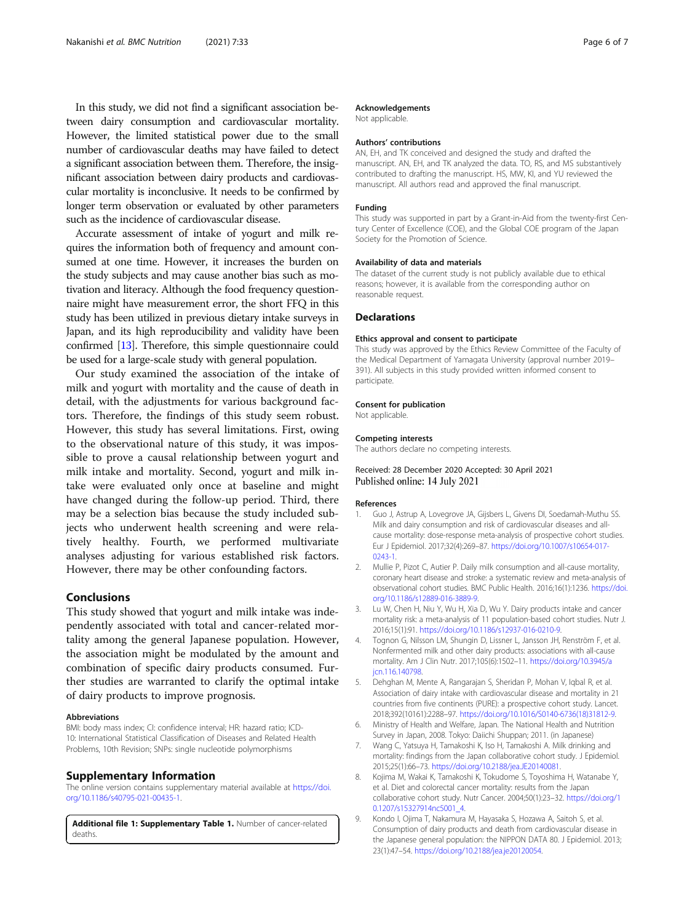<span id="page-5-0"></span>In this study, we did not find a significant association between dairy consumption and cardiovascular mortality. However, the limited statistical power due to the small number of cardiovascular deaths may have failed to detect a significant association between them. Therefore, the insignificant association between dairy products and cardiovascular mortality is inconclusive. It needs to be confirmed by longer term observation or evaluated by other parameters such as the incidence of cardiovascular disease.

Accurate assessment of intake of yogurt and milk requires the information both of frequency and amount consumed at one time. However, it increases the burden on the study subjects and may cause another bias such as motivation and literacy. Although the food frequency questionnaire might have measurement error, the short FFQ in this study has been utilized in previous dietary intake surveys in Japan, and its high reproducibility and validity have been confirmed [\[13\]](#page-6-0). Therefore, this simple questionnaire could be used for a large-scale study with general population.

Our study examined the association of the intake of milk and yogurt with mortality and the cause of death in detail, with the adjustments for various background factors. Therefore, the findings of this study seem robust. However, this study has several limitations. First, owing to the observational nature of this study, it was impossible to prove a causal relationship between yogurt and milk intake and mortality. Second, yogurt and milk intake were evaluated only once at baseline and might have changed during the follow-up period. Third, there may be a selection bias because the study included subjects who underwent health screening and were relatively healthy. Fourth, we performed multivariate analyses adjusting for various established risk factors. However, there may be other confounding factors.

#### Conclusions

This study showed that yogurt and milk intake was independently associated with total and cancer-related mortality among the general Japanese population. However, the association might be modulated by the amount and combination of specific dairy products consumed. Further studies are warranted to clarify the optimal intake of dairy products to improve prognosis.

#### Abbreviations

BMI: body mass index; CI: confidence interval; HR: hazard ratio; ICD-10: International Statistical Classification of Diseases and Related Health Problems, 10th Revision; SNPs: single nucleotide polymorphisms

#### Supplementary Information

The online version contains supplementary material available at [https://doi.](https://doi.org/10.1186/s40795-021-00435-1) [org/10.1186/s40795-021-00435-1.](https://doi.org/10.1186/s40795-021-00435-1)

Additional file 1: Supplementary Table 1. Number of cancer-related deaths.

#### Acknowledgements

Not applicable.

#### Authors' contributions

AN, EH, and TK conceived and designed the study and drafted the manuscript. AN, EH, and TK analyzed the data. TO, RS, and MS substantively contributed to drafting the manuscript. HS, MW, KI, and YU reviewed the manuscript. All authors read and approved the final manuscript.

#### Funding

This study was supported in part by a Grant-in-Aid from the twenty-first Century Center of Excellence (COE), and the Global COE program of the Japan Society for the Promotion of Science.

#### Availability of data and materials

The dataset of the current study is not publicly available due to ethical reasons; however, it is available from the corresponding author on reasonable request.

#### Declarations

#### Ethics approval and consent to participate

This study was approved by the Ethics Review Committee of the Faculty of the Medical Department of Yamagata University (approval number 2019– 391). All subjects in this study provided written informed consent to participate.

#### Consent for publication

Not applicable.

#### Competing interests

The authors declare no competing interests.

#### Received: 28 December 2020 Accepted: 30 April 2021 Published online: 14 July 2021

#### References

- 1. Guo J, Astrup A, Lovegrove JA, Gijsbers L, Givens DI, Soedamah-Muthu SS. Milk and dairy consumption and risk of cardiovascular diseases and allcause mortality: dose-response meta-analysis of prospective cohort studies. Eur J Epidemiol. 2017;32(4):269–87. [https://doi.org/10.1007/s10654-017-](https://doi.org/10.1007/s10654-017-0243-1) [0243-1.](https://doi.org/10.1007/s10654-017-0243-1)
- 2. Mullie P, Pizot C, Autier P. Daily milk consumption and all-cause mortality, coronary heart disease and stroke: a systematic review and meta-analysis of observational cohort studies. BMC Public Health. 2016;16(1):1236. [https://doi.](https://doi.org/10.1186/s12889-016-3889-9) [org/10.1186/s12889-016-3889-9](https://doi.org/10.1186/s12889-016-3889-9).
- 3. Lu W, Chen H, Niu Y, Wu H, Xia D, Wu Y. Dairy products intake and cancer mortality risk: a meta-analysis of 11 population-based cohort studies. Nutr J. 2016;15(1):91. <https://doi.org/10.1186/s12937-016-0210-9>.
- 4. Tognon G, Nilsson LM, Shungin D, Lissner L, Jansson JH, Renström F, et al. Nonfermented milk and other dairy products: associations with all-cause mortality. Am J Clin Nutr. 2017;105(6):1502–11. [https://doi.org/10.3945/a](https://doi.org/10.3945/ajcn.116.140798) [jcn.116.140798](https://doi.org/10.3945/ajcn.116.140798).
- 5. Dehghan M, Mente A, Rangarajan S, Sheridan P, Mohan V, Iqbal R, et al. Association of dairy intake with cardiovascular disease and mortality in 21 countries from five continents (PURE): a prospective cohort study. Lancet. 2018;392(10161):2288–97. [https://doi.org/10.1016/S0140-6736\(18\)31812-9](https://doi.org/10.1016/S0140-6736(18)31812-9).
- 6. Ministry of Health and Welfare, Japan. The National Health and Nutrition Survey in Japan, 2008. Tokyo: Daiichi Shuppan; 2011. (in Japanese)
- 7. Wang C, Yatsuya H, Tamakoshi K, Iso H, Tamakoshi A. Milk drinking and mortality: findings from the Japan collaborative cohort study. J Epidemiol. 2015;25(1):66–73. [https://doi.org/10.2188/jea.JE20140081.](https://doi.org/10.2188/jea.JE20140081)
- 8. Kojima M, Wakai K, Tamakoshi K, Tokudome S, Toyoshima H, Watanabe Y, et al. Diet and colorectal cancer mortality: results from the Japan collaborative cohort study. Nutr Cancer. 2004;50(1):23–32. [https://doi.org/1](https://doi.org/10.1207/s15327914nc5001_4) [0.1207/s15327914nc5001\\_4.](https://doi.org/10.1207/s15327914nc5001_4)
- 9. Kondo I, Ojima T, Nakamura M, Hayasaka S, Hozawa A, Saitoh S, et al. Consumption of dairy products and death from cardiovascular disease in the Japanese general population: the NIPPON DATA 80. J Epidemiol. 2013; 23(1):47–54. <https://doi.org/10.2188/jea.je20120054>.